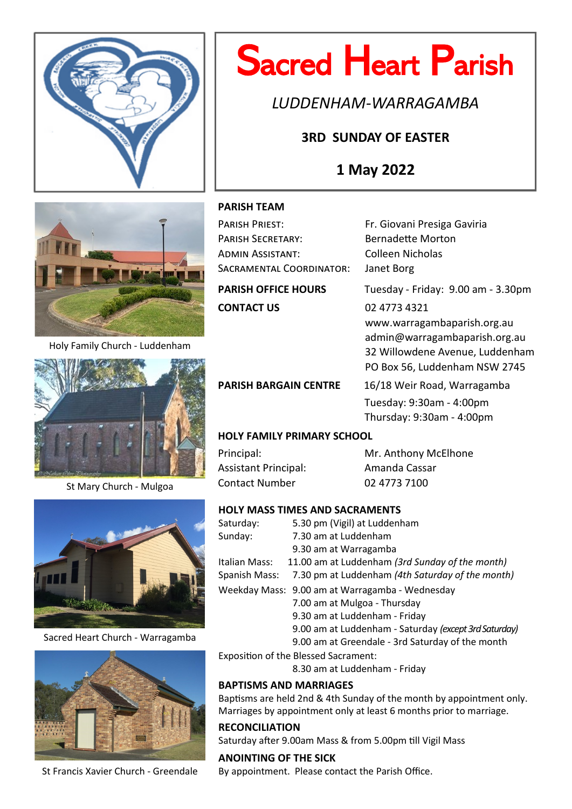

# Sacred Heart Parish

*LUDDENHAM-WARRAGAMBA*

## **3RD SUNDAY OF EASTER**

## **1 May 2022**



Holy Family Church - Luddenham



St Mary Church - Mulgoa



Sacred Heart Church - Warragamba



St Francis Xavier Church - Greendale

#### **PARISH TEAM**

| PARISH PRIEST:             | Fr. Giovani Presiga Gaviria        |  |  |
|----------------------------|------------------------------------|--|--|
| <b>PARISH SECRETARY:</b>   | <b>Bernadette Morton</b>           |  |  |
| ADMIN ASSISTANT:           | <b>Colleen Nicholas</b>            |  |  |
| SACRAMENTAL COORDINATOR:   | Janet Borg                         |  |  |
| <b>PARISH OFFICE HOURS</b> | Tuesday - Friday: 9.00 am - 3.30pm |  |  |
| <b>CONTACT US</b>          | 02 4773 4321                       |  |  |
|                            | www.warragambaparish.org.au        |  |  |
|                            | admin@warragambaparish.org.au      |  |  |
|                            | 32 Willowdene Avenue, Luddenham    |  |  |

PARISH BARGAIN CENTRE 16/18 Weir Road, Warragamba Tuesday: 9:30am - 4:00pm Thursday: 9:30am - 4:00pm

PO Box 56, Luddenham NSW 2745

#### **HOLY FAMILY PRIMARY SCHOOL**

Assistant Principal: Amanda Cassar Contact Number 02 4773 7100

Principal: Mr. Anthony McElhone

#### **HOLY MASS TIMES AND SACRAMENTS**

| Saturday:     | 5.30 pm (Vigil) at Luddenham                          |
|---------------|-------------------------------------------------------|
| Sunday:       | 7.30 am at Luddenham                                  |
|               | 9.30 am at Warragamba                                 |
| Italian Mass: | 11.00 am at Luddenham (3rd Sunday of the month)       |
| Spanish Mass: | 7.30 pm at Luddenham (4th Saturday of the month)      |
|               | Weekday Mass: 9.00 am at Warragamba - Wednesday       |
|               | 7.00 am at Mulgoa - Thursday                          |
|               | 9.30 am at Luddenham - Friday                         |
|               | 9.00 am at Luddenham - Saturday (except 3rd Saturday) |
|               | 9.00 am at Greendale - 3rd Saturday of the month      |

Exposition of the Blessed Sacrament:

8.30 am at Luddenham - Friday

#### **BAPTISMS AND MARRIAGES**

Baptisms are held 2nd & 4th Sunday of the month by appointment only. Marriages by appointment only at least 6 months prior to marriage.

#### **RECONCILIATION**

Saturday after 9.00am Mass & from 5.00pm till Vigil Mass

**ANOINTING OF THE SICK** By appointment. Please contact the Parish Office.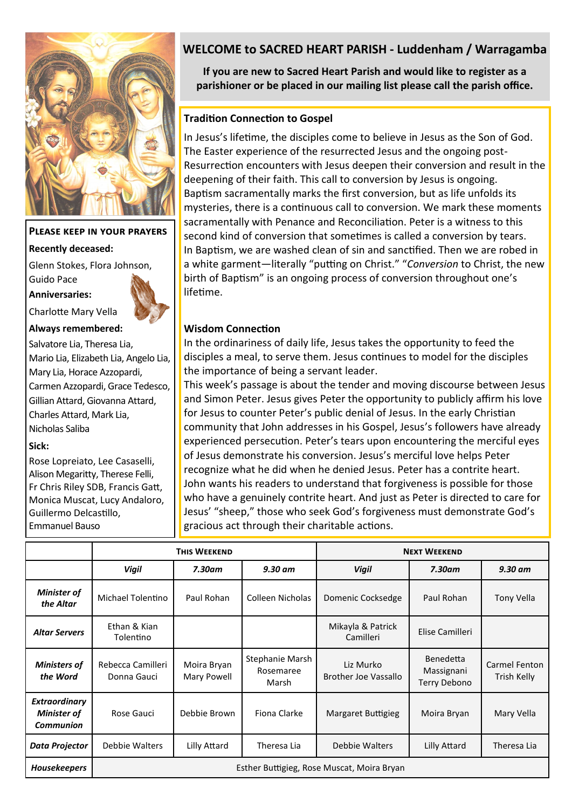

## **Please keep in your prayers Recently deceased:** Glenn Stokes, Flora Johnson, Guido Pace **Anniversaries:**



Charlotte Mary Vella

**Always remembered:** 

Salvatore Lia, Theresa Lia, Mario Lia, Elizabeth Lia, Angelo Lia, Mary Lia, Horace Azzopardi, Carmen Azzopardi, Grace Tedesco, Gillian Attard, Giovanna Attard, Charles Attard, Mark Lia, Nicholas Saliba

#### **Sick:**

Rose Lopreiato, Lee Casaselli, Alison Megaritty, Therese Felli, Fr Chris Riley SDB, Francis Gatt, Monica Muscat, Lucy Andaloro, Guillermo Delcastillo, Emmanuel Bauso

### **WELCOME to SACRED HEART PARISH - Luddenham / Warragamba**

**If you are new to Sacred Heart Parish and would like to register as a parishioner or be placed in our mailing list please call the parish office.**

#### **Tradition Connection to Gospel**

In Jesus's lifetime, the disciples come to believe in Jesus as the Son of God. The Easter experience of the resurrected Jesus and the ongoing post-Resurrection encounters with Jesus deepen their conversion and result in the deepening of their faith. This call to conversion by Jesus is ongoing. Baptism sacramentally marks the first conversion, but as life unfolds its mysteries, there is a continuous call to conversion. We mark these moments sacramentally with Penance and Reconciliation. Peter is a witness to this second kind of conversion that sometimes is called a conversion by tears. In Baptism, we are washed clean of sin and sanctified. Then we are robed in a white garment—literally "putting on Christ." "*Conversion* to Christ, the new birth of Baptism" is an ongoing process of conversion throughout one's lifetime.

#### **Wisdom Connection**

disciples a meal, to serve them. Jesus continues to model for the disciples In the ordinariness of daily life, Jesus takes the opportunity to feed the the importance of being a servant leader.

This week's passage is about the tender and moving discourse between Jesus and Simon Peter. Jesus gives Peter the opportunity to publicly affirm his love for Jesus to counter Peter's public denial of Jesus. In the early Christian community that John addresses in his Gospel, Jesus's followers have already experienced persecution. Peter's tears upon encountering the merciful eyes of Jesus demonstrate his conversion. Jesus's merciful love helps Peter recognize what he did when he denied Jesus. Peter has a contrite heart. John wants his readers to understand that forgiveness is possible for those who have a genuinely contrite heart. And just as Peter is directed to care for Jesus' "sheep," those who seek God's forgiveness must demonstrate God's gracious act through their charitable actions.

|                                                  | <b>THIS WEEKEND</b>                        |                            |                                       | <b>NEXT WEEKEND</b>                      |                                         |                              |  |
|--------------------------------------------------|--------------------------------------------|----------------------------|---------------------------------------|------------------------------------------|-----------------------------------------|------------------------------|--|
|                                                  | <b>Vigil</b>                               | $7.30$ am                  | $9.30$ am                             | <b>Vigil</b>                             | 7.30am                                  | $9.30$ am                    |  |
| <b>Minister of</b><br>the Altar                  | Michael Tolentino                          | Paul Rohan                 | Colleen Nicholas                      | Domenic Cocksedge                        | Paul Rohan                              | Tony Vella                   |  |
| <b>Altar Servers</b>                             | Ethan & Kian<br>Tolentino                  |                            |                                       | Mikayla & Patrick<br>Camilleri           | Elise Camilleri                         |                              |  |
| <b>Ministers of</b><br>the Word                  | Rebecca Camilleri<br>Donna Gauci           | Moira Bryan<br>Mary Powell | Stephanie Marsh<br>Rosemaree<br>Marsh | Liz Murko<br><b>Brother Joe Vassallo</b> | Benedetta<br>Massignani<br>Terry Debono | Carmel Fenton<br>Trish Kelly |  |
| Extraordinary<br>Minister of<br><b>Communion</b> | Rose Gauci                                 | Debbie Brown               | Fiona Clarke                          | Margaret Buttigieg                       | Moira Bryan                             | Mary Vella                   |  |
| Data Projector                                   | Debbie Walters                             | Lilly Attard               | Theresa Lia                           | Debbie Walters                           | Lilly Attard                            | Theresa Lia                  |  |
| <b>Housekeepers</b>                              | Esther Buttigieg, Rose Muscat, Moira Bryan |                            |                                       |                                          |                                         |                              |  |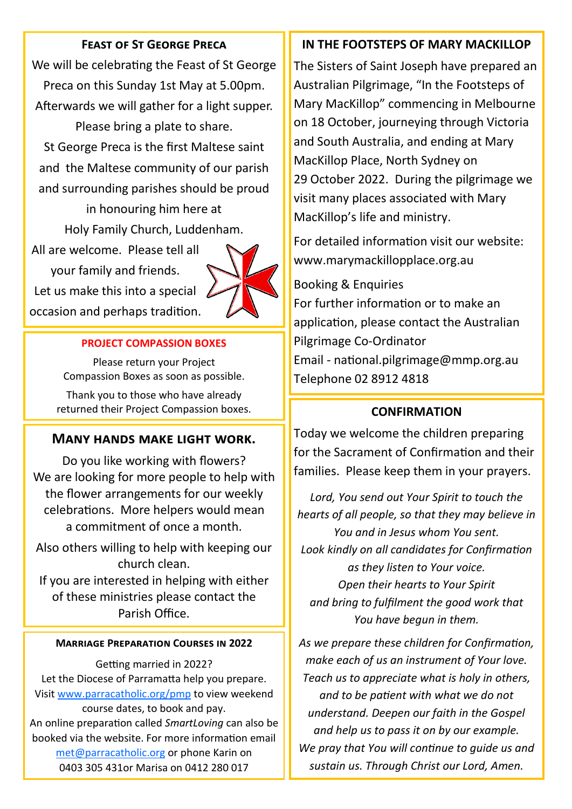### **Feast of St George Preca**

We will be celebrating the Feast of St George Preca on this Sunday 1st May at 5.00pm. Afterwards we will gather for a light supper. Please bring a plate to share.

St George Preca is the first Maltese saint and the Maltese community of our parish and surrounding parishes should be proud

> in honouring him here at Holy Family Church, Luddenham.

All are welcome. Please tell all your family and friends. Let us make this into a special occasion and perhaps tradition.



#### **PROJECT COMPASSION BOXES**

Please return your Project Compassion Boxes as soon as possible.

Thank you to those who have already returned their Project Compassion boxes.

#### **Many hands make light work.**

Do you like working with flowers? We are looking for more people to help with the flower arrangements for our weekly celebrations. More helpers would mean a commitment of once a month.

Also others willing to help with keeping our church clean.

If you are interested in helping with either of these ministries please contact the Parish Office.

#### **Marriage Preparation Courses in 2022**

Getting married in 2022? Let the Diocese of Parramatta help you prepare. Visit [www.parracatholic.org/pmp](http://www.parracatholic.org/pmp) to view weekend course dates, to book and pay. An online preparation called *SmartLoving* can also be booked via the website. For more information email [met@parracatholic.org](mailto:met@parracatholic.org) or phone Karin on 0403 305 431or Marisa on 0412 280 017

#### **IN THE FOOTSTEPS OF MARY MACKILLOP**

The Sisters of Saint Joseph have prepared an Australian Pilgrimage, "In the Footsteps of Mary MacKillop" commencing in Melbourne on 18 October, journeying through Victoria and South Australia, and ending at Mary MacKillop Place, North Sydney on 29 October 2022. During the pilgrimage we visit many places associated with Mary MacKillop's life and ministry.

For detailed information visit our website: www.marymackillopplace.org.au

Booking & Enquiries For further information or to make an application, please contact the Australian Pilgrimage Co-Ordinator Email - national.pilgrimage@mmp.org.au

## Telephone 02 8912 4818

#### **CONFIRMATION**

Today we welcome the children preparing for the Sacrament of Confirmation and their families. Please keep them in your prayers.

*Lord, You send out Your Spirit to touch the hearts of all people, so that they may believe in You and in Jesus whom You sent. Look kindly on all candidates for Confirmation as they listen to Your voice. Open their hearts to Your Spirit and bring to fulfilment the good work that You have begun in them.* 

*As we prepare these children for Confirmation, make each of us an instrument of Your love. Teach us to appreciate what is holy in others, and to be patient with what we do not understand. Deepen our faith in the Gospel and help us to pass it on by our example. We pray that You will continue to guide us and sustain us. Through Christ our Lord, Amen.*